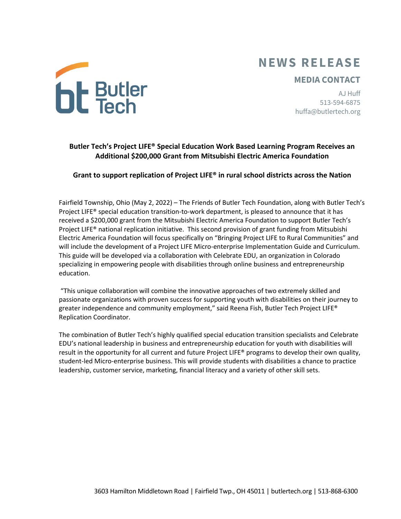# **NEWS RELEASE**

## **MEDIA CONTACT**

AJ Huff 513-594-6875 huffa@butlertech.org



## **Grant to support replication of Project LIFE® in rural school districts across the Nation**

Fairfield Township, Ohio (May 2, 2022) – The Friends of Butler Tech Foundation, along with Butler Tech's Project LIFE® special education transition-to-work department, is pleased to announce that it has received a \$200,000 grant from the Mitsubishi Electric America Foundation to support Butler Tech's Project LIFE® national replication initiative. This second provision of grant funding from Mitsubishi Electric America Foundation will focus specifically on "Bringing Project LIFE to Rural Communities" and will include the development of a Project LIFE Micro-enterprise Implementation Guide and Curriculum. This guide will be developed via a collaboration with Celebrate EDU, an organization in Colorado specializing in empowering people with disabilities through online business and entrepreneurship education.

"This unique collaboration will combine the innovative approaches of two extremely skilled and passionate organizations with proven success for supporting youth with disabilities on their journey to greater independence and community employment," said Reena Fish, Butler Tech Project LIFE® Replication Coordinator.

The combination of Butler Tech's highly qualified special education transition specialists and Celebrate EDU's national leadership in business and entrepreneurship education for youth with disabilities will result in the opportunity for all current and future Project LIFE® programs to develop their own quality, student-led Micro-enterprise business. This will provide students with disabilities a chance to practice leadership, customer service, marketing, financial literacy and a variety of other skill sets.



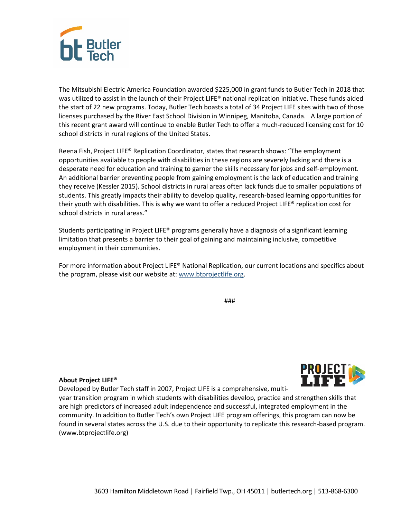

The Mitsubishi Electric America Foundation awarded \$225,000 in grant funds to Butler Tech in 2018 that was utilized to assist in the launch of their Project LIFE® national replication initiative. These funds aided the start of 22 new programs. Today, Butler Tech boasts a total of 34 Project LIFE sites with two of those licenses purchased by the River East School Division in Winnipeg, Manitoba, Canada. A large portion of this recent grant award will continue to enable Butler Tech to offer a much-reduced licensing cost for 10 school districts in rural regions of the United States.

Reena Fish, Project LIFE® Replication Coordinator, states that research shows: "The employment opportunities available to people with disabilities in these regions are severely lacking and there is a desperate need for education and training to garner the skills necessary for jobs and self-employment. An additional barrier preventing people from gaining employment is the lack of education and training they receive (Kessler 2015). School districts in rural areas often lack funds due to smaller populations of students. This greatly impacts their ability to develop quality, research-based learning opportunities for their youth with disabilities. This is why we want to offer a reduced Project LIFE® replication cost for school districts in rural areas."

Students participating in Project LIFE® programs generally have a diagnosis of a significant learning limitation that presents a barrier to their goal of gaining and maintaining inclusive, competitive employment in their communities.

For more information about Project LIFE® National Replication, our current locations and specifics about the program, please visit our website at: [www.btprojectlife.org.](http://www.btprojectlife.org/)

###

## **About Project LIFE®**

Developed by Butler Tech staff in 2007, Project LIFE is a comprehensive, multi-

year transition program in which students with disabilities develop, practice and strengthen skills that are high predictors of increased adult independence and successful, integrated employment in the community. In addition to Butler Tech's own Project LIFE program offerings, this program can now be found in several states across the U.S. due to their opportunity to replicate this research-based program. [\(www.btprojectlife.org\)](http://www.btprojectlife.org/)